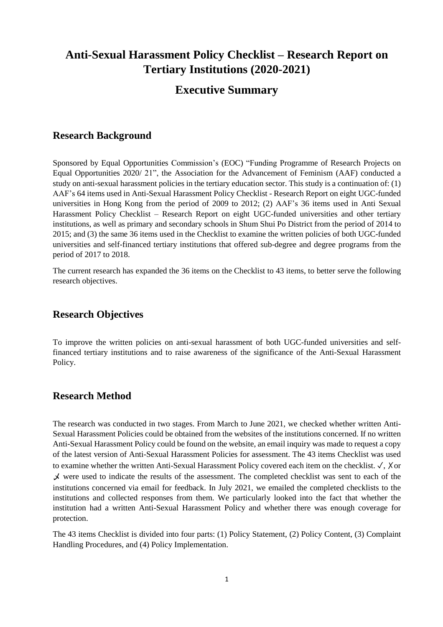# **Anti-Sexual Harassment Policy Checklist – Research Report on Tertiary Institutions (2020-2021)**

## **Executive Summary**

### **Research Background**

Sponsored by Equal Opportunities Commission's (EOC) "Funding Programme of Research Projects on Equal Opportunities 2020/ 21", the Association for the Advancement of Feminism (AAF) conducted a study on anti-sexual harassment policies in the tertiary education sector. This study is a continuation of: (1) AAF's 64 items used in Anti-Sexual Harassment Policy Checklist - Research Report on eight UGC-funded universities in Hong Kong from the period of 2009 to 2012; (2) AAF's 36 items used in Anti Sexual Harassment Policy Checklist – Research Report on eight UGC-funded universities and other tertiary institutions, as well as primary and secondary schools in Shum Shui Po District from the period of 2014 to 2015; and (3) the same 36 items used in the Checklist to examine the written policies of both UGC-funded universities and self-financed tertiary institutions that offered sub-degree and degree programs from the period of 2017 to 2018.

The current research has expanded the 36 items on the Checklist to 43 items, to better serve the following research objectives.

### **Research Objectives**

To improve the written policies on anti-sexual harassment of both UGC-funded universities and selffinanced tertiary institutions and to raise awareness of the significance of the Anti-Sexual Harassment Policy.

### **Research Method**

The research was conducted in two stages. From March to June 2021, we checked whether written Anti-Sexual Harassment Policies could be obtained from the websites of the institutions concerned. If no written Anti-Sexual Harassment Policy could be found on the website, an email inquiry was made to request a copy of the latest version of Anti-Sexual Harassment Policies for assessment. The 43 items Checklist was used to examine whether the written Anti-Sexual Harassment Policy covered each item on the checklist. ✓, ✗or 乄 were used to indicate the results of the assessment. The completed checklist was sent to each of the institutions concerned via email for feedback. In July 2021, we emailed the completed checklists to the institutions and collected responses from them. We particularly looked into the fact that whether the institution had a written Anti-Sexual Harassment Policy and whether there was enough coverage for protection.

The 43 items Checklist is divided into four parts: (1) Policy Statement, (2) Policy Content, (3) Complaint Handling Procedures, and (4) Policy Implementation.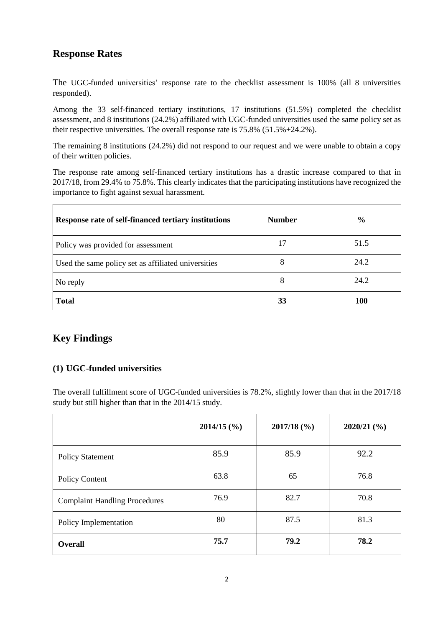### **Response Rates**

The UGC-funded universities' response rate to the checklist assessment is 100% (all 8 universities responded).

Among the 33 self-financed tertiary institutions, 17 institutions (51.5%) completed the checklist assessment, and 8 institutions (24.2%) affiliated with UGC-funded universities used the same policy set as their respective universities. The overall response rate is 75.8% (51.5%+24.2%).

The remaining 8 institutions (24.2%) did not respond to our request and we were unable to obtain a copy of their written policies.

The response rate among self-financed tertiary institutions has a drastic increase compared to that in 2017/18, from 29.4% to 75.8%. This clearly indicates that the participating institutions have recognized the importance to fight against sexual harassment.

| Response rate of self-financed tertiary institutions | <b>Number</b> | $\frac{6}{9}$ |
|------------------------------------------------------|---------------|---------------|
| Policy was provided for assessment                   |               | 51.5          |
| Used the same policy set as affiliated universities  | 8             | 24.2          |
| No reply                                             | 8             | 24.2          |
| <b>Total</b>                                         | 33            | <b>100</b>    |

## **Key Findings**

### **(1) UGC-funded universities**

The overall fulfillment score of UGC-funded universities is 78.2%, slightly lower than that in the 2017/18 study but still higher than that in the 2014/15 study.

|                                      | $2014/15$ (%) | $2017/18$ (%) | $2020/21$ (%) |
|--------------------------------------|---------------|---------------|---------------|
| <b>Policy Statement</b>              | 85.9          | 85.9          | 92.2          |
| Policy Content                       | 63.8          | 65            | 76.8          |
| <b>Complaint Handling Procedures</b> | 76.9          | 82.7          | 70.8          |
| Policy Implementation                | 80            | 87.5          | 81.3          |
| <b>Overall</b>                       | 75.7          | 79.2          | 78.2          |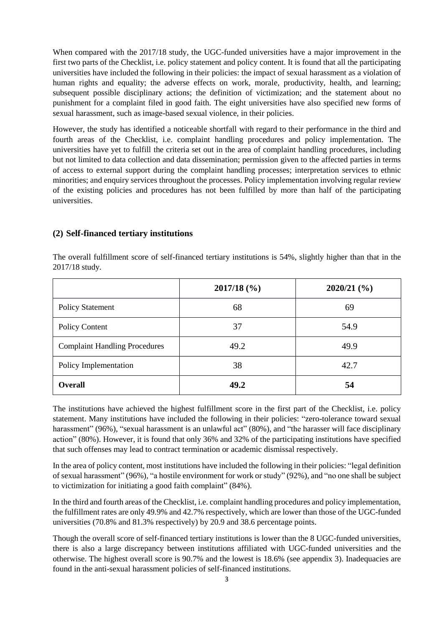When compared with the 2017/18 study, the UGC-funded universities have a major improvement in the first two parts of the Checklist, i.e. policy statement and policy content. It is found that all the participating universities have included the following in their policies: the impact of sexual harassment as a violation of human rights and equality; the adverse effects on work, morale, productivity, health, and learning; subsequent possible disciplinary actions; the definition of victimization; and the statement about no punishment for a complaint filed in good faith. The eight universities have also specified new forms of sexual harassment, such as image-based sexual violence, in their policies.

However, the study has identified a noticeable shortfall with regard to their performance in the third and fourth areas of the Checklist, i.e. complaint handling procedures and policy implementation. The universities have yet to fulfill the criteria set out in the area of complaint handling procedures, including but not limited to data collection and data dissemination; permission given to the affected parties in terms of access to external support during the complaint handling processes; interpretation services to ethnic minorities; and enquiry services throughout the processes. Policy implementation involving regular review of the existing policies and procedures has not been fulfilled by more than half of the participating universities.

#### **(2) Self-financed tertiary institutions**

|                                      | $2017/18$ (%) | $2020/21$ (%) |
|--------------------------------------|---------------|---------------|
| <b>Policy Statement</b>              | 68            | 69            |
| <b>Policy Content</b>                | 37            | 54.9          |
| <b>Complaint Handling Procedures</b> | 49.2          | 49.9          |
| Policy Implementation                | 38            | 42.7          |
| <b>Overall</b>                       | 49.2          | 54            |

The overall fulfillment score of self-financed tertiary institutions is 54%, slightly higher than that in the 2017/18 study.

The institutions have achieved the highest fulfillment score in the first part of the Checklist, i.e. policy statement. Many institutions have included the following in their policies: "zero-tolerance toward sexual harassment" (96%), "sexual harassment is an unlawful act" (80%), and "the harasser will face disciplinary action" (80%). However, it is found that only 36% and 32% of the participating institutions have specified that such offenses may lead to contract termination or academic dismissal respectively.

In the area of policy content, most institutions have included the following in their policies: "legal definition of sexual harassment" (96%), "a hostile environment for work or study" (92%), and "no one shall be subject to victimization for initiating a good faith complaint" (84%).

In the third and fourth areas of the Checklist, i.e. complaint handling procedures and policy implementation, the fulfillment rates are only 49.9% and 42.7% respectively, which are lower than those of the UGC-funded universities (70.8% and 81.3% respectively) by 20.9 and 38.6 percentage points.

Though the overall score of self-financed tertiary institutions is lower than the 8 UGC-funded universities, there is also a large discrepancy between institutions affiliated with UGC-funded universities and the otherwise. The highest overall score is 90.7% and the lowest is 18.6% (see appendix 3). Inadequacies are found in the anti-sexual harassment policies of self-financed institutions.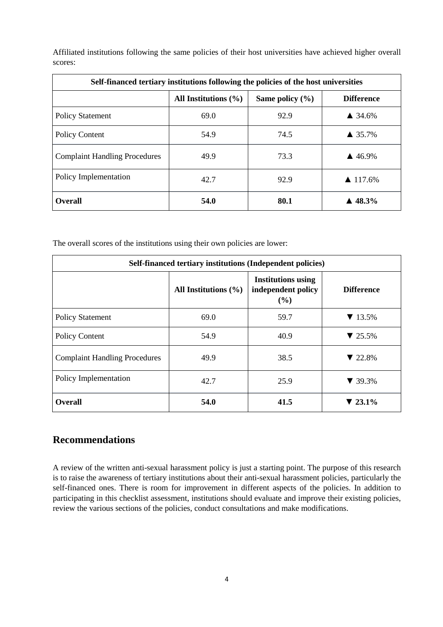Affiliated institutions following the same policies of their host universities have achieved higher overall scores:

| Self-financed tertiary institutions following the policies of the host universities |                          |                     |                        |
|-------------------------------------------------------------------------------------|--------------------------|---------------------|------------------------|
|                                                                                     | All Institutions $(\% )$ | Same policy $(\% )$ | <b>Difference</b>      |
| <b>Policy Statement</b>                                                             | 69.0                     | 92.9                | $\triangle$ 34.6%      |
| Policy Content                                                                      | 54.9                     | 74.5                | $\triangle$ 35.7%      |
| <b>Complaint Handling Procedures</b>                                                | 49.9                     | 73.3                | $\triangle$ 46.9%      |
| Policy Implementation                                                               | 42.7                     | 92.9                | $\triangle$ 117.6%     |
| <b>Overall</b>                                                                      | 54.0                     | 80.1                | $\blacktriangle$ 48.3% |

The overall scores of the institutions using their own policies are lower:

| Self-financed tertiary institutions (Independent policies) |                          |                                                        |                             |
|------------------------------------------------------------|--------------------------|--------------------------------------------------------|-----------------------------|
|                                                            | All Institutions $(\% )$ | <b>Institutions using</b><br>independent policy<br>(%) | <b>Difference</b>           |
| <b>Policy Statement</b>                                    | 69.0                     | 59.7                                                   | $\blacktriangledown$ 13.5%  |
| <b>Policy Content</b>                                      | 54.9                     | 40.9                                                   | $\blacktriangledown$ 25.5%  |
| <b>Complaint Handling Procedures</b>                       | 49.9                     | 38.5                                                   | $\blacktriangledown$ 22.8%  |
| Policy Implementation                                      | 42.7                     | 25.9                                                   | $\blacktriangledown$ 39.3%  |
| <b>Overall</b>                                             | 54.0                     | 41.5                                                   | $\blacktriangledown 23.1\%$ |

### **Recommendations**

A review of the written anti-sexual harassment policy is just a starting point. The purpose of this research is to raise the awareness of tertiary institutions about their anti-sexual harassment policies, particularly the self-financed ones. There is room for improvement in different aspects of the policies. In addition to participating in this checklist assessment, institutions should evaluate and improve their existing policies, review the various sections of the policies, conduct consultations and make modifications.